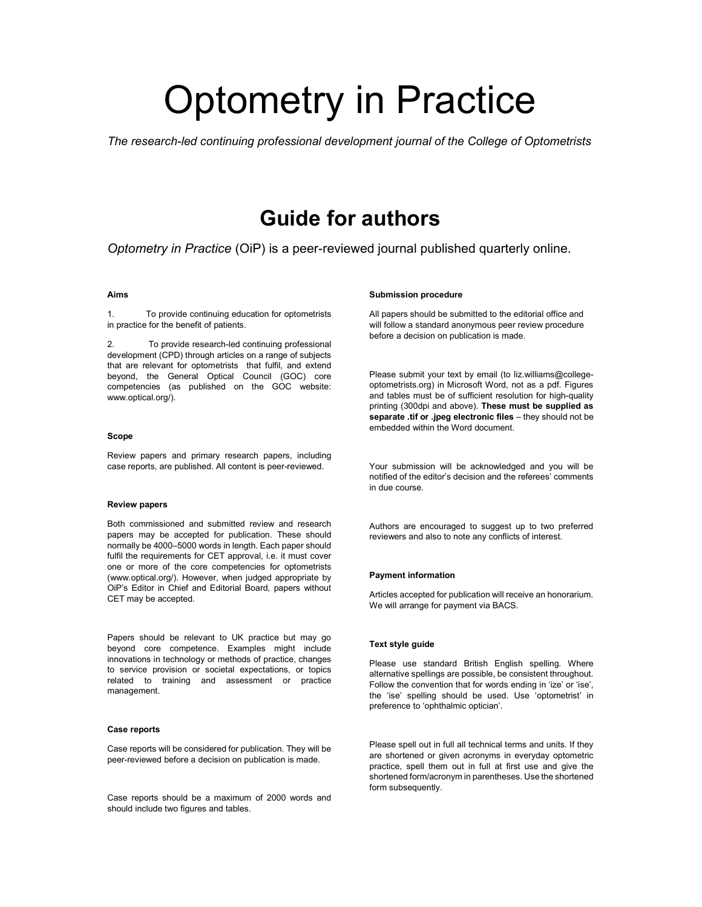# Optometry in Practice

The research-led continuing professional development journal of the College of Optometrists

### Guide for authors

Optometry in Practice (OiP) is a peer-reviewed journal published quarterly online.

#### Aims

1. To provide continuing education for optometrists in practice for the benefit of patients.

To provide research-led continuing professional development (CPD) through articles on a range of subjects that are relevant for optometrists that fulfil, and extend beyond, the General Optical Council (GOC) core competencies (as published on the GOC website: www.optical.org/).

#### Scope

Review papers and primary research papers, including case reports, are published. All content is peer-reviewed.

#### Review papers

Both commissioned and submitted review and research papers may be accepted for publication. These should normally be 4000–5000 words in length. Each paper should fulfil the requirements for CET approval, i.e. it must cover one or more of the core competencies for optometrists (www.optical.org/). However, when judged appropriate by OiP's Editor in Chief and Editorial Board, papers without CET may be accepted.

Papers should be relevant to UK practice but may go beyond core competence. Examples might include innovations in technology or methods of practice, changes to service provision or societal expectations, or topics related to training and assessment or practice management.

#### Case reports

Case reports will be considered for publication. They will be peer-reviewed before a decision on publication is made.

Case reports should be a maximum of 2000 words and should include two figures and tables.

#### Submission procedure

All papers should be submitted to the editorial office and will follow a standard anonymous peer review procedure before a decision on publication is made.

Please submit your text by email (to liz.williams@collegeoptometrists.org) in Microsoft Word, not as a pdf. Figures and tables must be of sufficient resolution for high-quality printing (300dpi and above). These must be supplied as separate .tif or .jpeg electronic files - they should not be embedded within the Word document.

Your submission will be acknowledged and you will be notified of the editor's decision and the referees' comments in due course.

Authors are encouraged to suggest up to two preferred reviewers and also to note any conflicts of interest.

#### Payment information

Articles accepted for publication will receive an honorarium. We will arrange for payment via BACS.

#### Text style guide

Please use standard British English spelling. Where alternative spellings are possible, be consistent throughout. Follow the convention that for words ending in 'ize' or 'ise', the 'ise' spelling should be used. Use 'optometrist' in preference to 'ophthalmic optician'.

Please spell out in full all technical terms and units. If they are shortened or given acronyms in everyday optometric practice, spell them out in full at first use and give the shortened form/acronym in parentheses. Use the shortened form subsequently.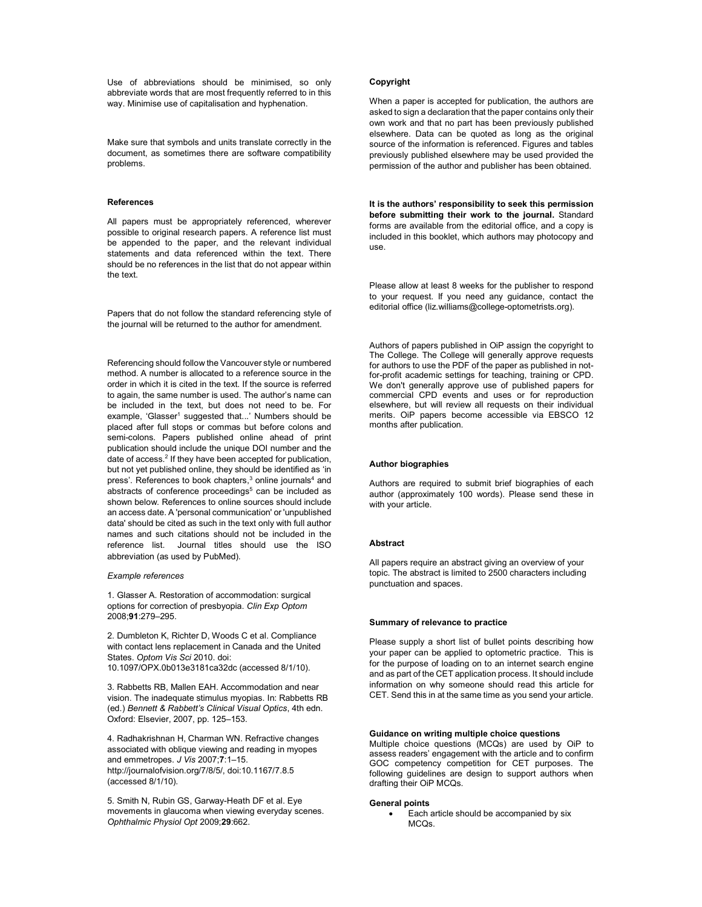Use of abbreviations should be minimised, so only abbreviate words that are most frequently referred to in this way. Minimise use of capitalisation and hyphenation.

Make sure that symbols and units translate correctly in the document, as sometimes there are software compatibility problems.

#### References

All papers must be appropriately referenced, wherever possible to original research papers. A reference list must be appended to the paper, and the relevant individual statements and data referenced within the text. There should be no references in the list that do not appear within the text.

Papers that do not follow the standard referencing style of the journal will be returned to the author for amendment.

Referencing should follow the Vancouver style or numbered method. A number is allocated to a reference source in the order in which it is cited in the text. If the source is referred to again, the same number is used. The author's name can be included in the text, but does not need to be. For example, 'Glasser<sup>1</sup> suggested that...' Numbers should be placed after full stops or commas but before colons and semi-colons. Papers published online ahead of print publication should include the unique DOI number and the date of access.<sup>2</sup> If they have been accepted for publication, but not yet published online, they should be identified as 'in press'. References to book chapters,<sup>3</sup> online journals<sup>4</sup> and abstracts of conference proceedings<sup>5</sup> can be included as shown below. References to online sources should include an access date. A 'personal communication' or 'unpublished data' should be cited as such in the text only with full author names and such citations should not be included in the reference list. Journal titles should use the ISO abbreviation (as used by PubMed).

#### Example references

1. Glasser A. Restoration of accommodation: surgical options for correction of presbyopia. Clin Exp Optom 2008;91:279–295.

2. Dumbleton K, Richter D, Woods C et al. Compliance with contact lens replacement in Canada and the United States. Optom Vis Sci 2010. doi: 10.1097/OPX.0b013e3181ca32dc (accessed 8/1/10).

3. Rabbetts RB, Mallen EAH. Accommodation and near vision. The inadequate stimulus myopias. In: Rabbetts RB (ed.) Bennett & Rabbett's Clinical Visual Optics, 4th edn. Oxford: Elsevier, 2007, pp. 125–153.

4. Radhakrishnan H, Charman WN. Refractive changes associated with oblique viewing and reading in myopes and emmetropes. J Vis 2007;7:1–15. http://journalofvision.org/7/8/5/, doi:10.1167/7.8.5 (accessed 8/1/10).

5. Smith N, Rubin GS, Garway-Heath DF et al. Eye movements in glaucoma when viewing everyday scenes. Ophthalmic Physiol Opt 2009;29:662.

#### Copyright

When a paper is accepted for publication, the authors are asked to sign a declaration that the paper contains only their own work and that no part has been previously published elsewhere. Data can be quoted as long as the original source of the information is referenced. Figures and tables previously published elsewhere may be used provided the permission of the author and publisher has been obtained.

It is the authors' responsibility to seek this permission before submitting their work to the journal. Standard forms are available from the editorial office, and a copy is included in this booklet, which authors may photocopy and use.

Please allow at least 8 weeks for the publisher to respond to your request. If you need any guidance, contact the editorial office (liz.williams@college-optometrists.org).

Authors of papers published in OiP assign the copyright to The College. The College will generally approve requests for authors to use the PDF of the paper as published in notfor-profit academic settings for teaching, training or CPD. We don't generally approve use of published papers for commercial CPD events and uses or for reproduction elsewhere, but will review all requests on their individual merits. OiP papers become accessible via EBSCO 12 months after publication.

#### Author biographies

Authors are required to submit brief biographies of each author (approximately 100 words). Please send these in with your article.

#### **Abstract**

All papers require an abstract giving an overview of your topic. The abstract is limited to 2500 characters including punctuation and spaces.

#### Summary of relevance to practice

Please supply a short list of bullet points describing how your paper can be applied to optometric practice. This is for the purpose of loading on to an internet search engine and as part of the CET application process. It should include information on why someone should read this article for CET. Send this in at the same time as you send your article.

#### Guidance on writing multiple choice questions

Multiple choice questions (MCQs) are used by OiP to assess readers' engagement with the article and to confirm GOC competency competition for CET purposes. The following guidelines are design to support authors when drafting their OiP MCQs.

#### General points

 Each article should be accompanied by six MCQs.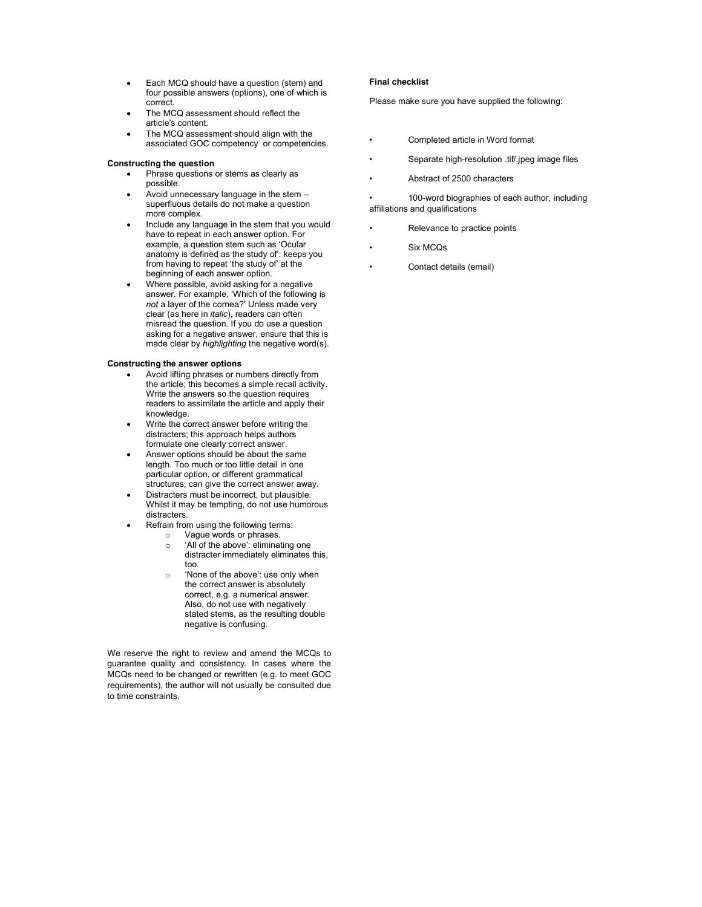- Each MCQ should have a question (stem) and four possible answers (options), one of which is correct.
- The MCQ assessment should reflect the article's content.
- The MCQ assessment should align with the associated GOC competency or competencies.

#### Constructing the question

- Phrase questions or stems as clearly as possible.
- Avoid unnecessary language in the stem superfluous details do not make a question more complex.
- Include any language in the stem that you would have to repeat in each answer option. For example, a question stem such as 'Ocular anatomy is defined as the study of': keeps you from having to repeat 'the study of' at the beginning of each answer option.
- Where possible, avoid asking for a negative answer. For example, 'Which of the following is not a layer of the cornea?' Unless made very clear (as here in italic), readers can often misread the question. If you do use a question asking for a negative answer, ensure that this is made clear by highlighting the negative word(s).

#### Constructing the answer options

- Avoid lifting phrases or numbers directly from the article; this becomes a simple recall activity. Write the answers so the question requires readers to assimilate the article and apply their knowledge.
- Write the correct answer before writing the distracters; this approach helps authors formulate one clearly correct answer.
- Answer options should be about the same length. Too much or too little detail in one particular option, or different grammatical structures, can give the correct answer away.
- Distracters must be incorrect, but plausible. Whilst it may be tempting, do not use humorous distracters.
	- Refrain from using the following terms:
		- o Vague words or phrases.<br>  $\circ$  'All of the above': eliminate 'All of the above': eliminating one
		- distracter immediately eliminates this, too.
		- o 'None of the above': use only when the correct answer is absolutely correct, e.g. a numerical answer. Also, do not use with negatively stated stems, as the resulting double negative is confusing.

We reserve the right to review and amend the MCQs to guarantee quality and consistency. In cases where the MCQs need to be changed or rewritten (e.g. to meet GOC requirements), the author will not usually be consulted due to time constraints.

#### Final checklist

Please make sure you have supplied the following:

- Completed article in Word format
- Separate high-resolution .tif/.jpeg image files
- Abstract of 2500 characters

100-word biographies of each author, including affiliations and qualifications

- Relevance to practice points
- Six MCQs
- Contact details (email)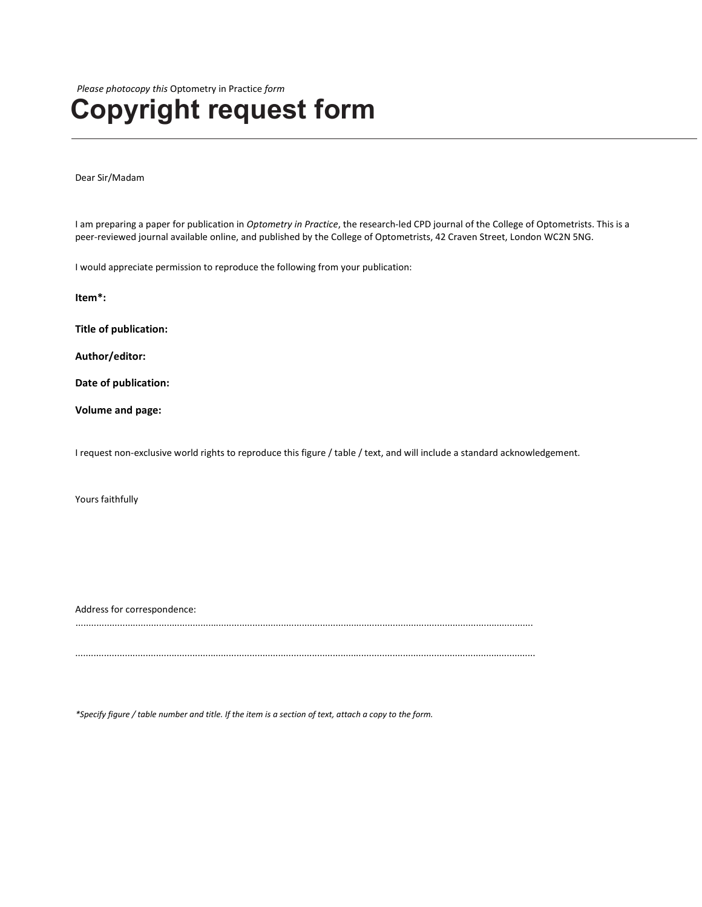Please photocopy this Optometry in Practice form

### Copyright request form

Dear Sir/Madam

I am preparing a paper for publication in Optometry in Practice, the research-led CPD journal of the College of Optometrists. This is a peer-reviewed journal available online, and published by the College of Optometrists, 42 Craven Street, London WC2N 5NG.

I would appreciate permission to reproduce the following from your publication:

Item\*:

Title of publication:

Author/editor:

Date of publication:

Volume and page:

I request non-exclusive world rights to reproduce this figure / table / text, and will include a standard acknowledgement.

Yours faithfully

Address for correspondence:

................................................................................................................................................................................

\*Specify figure / table number and title. If the item is a section of text, attach a copy to the form.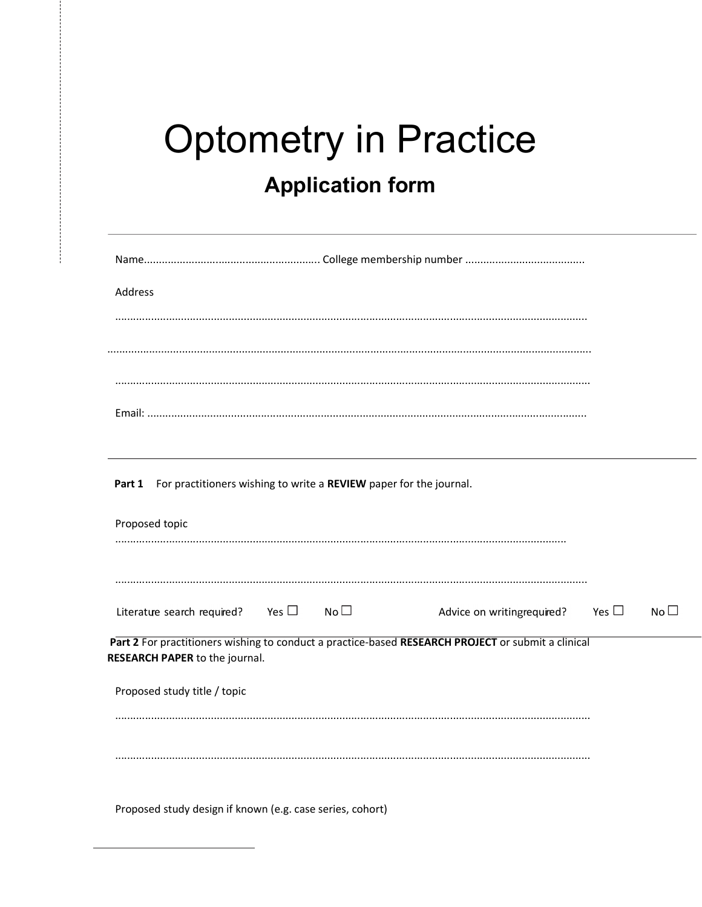## **Optometry in Practice Application form**

| Address                                                                                                                              |                            |            |                 |
|--------------------------------------------------------------------------------------------------------------------------------------|----------------------------|------------|-----------------|
|                                                                                                                                      |                            |            |                 |
|                                                                                                                                      |                            |            |                 |
|                                                                                                                                      |                            |            |                 |
|                                                                                                                                      |                            |            |                 |
|                                                                                                                                      |                            |            |                 |
| For practitioners wishing to write a REVIEW paper for the journal.<br>Part 1                                                         |                            |            |                 |
| Proposed topic                                                                                                                       |                            |            |                 |
|                                                                                                                                      |                            |            |                 |
|                                                                                                                                      |                            |            |                 |
|                                                                                                                                      |                            |            |                 |
| Yes $\square$<br>$No\square$<br>Literatue search required?                                                                           | Advice on writingrequired? | Yes $\Box$ | No <sub>1</sub> |
| Part 2 For practitioners wishing to conduct a practice-based RESEARCH PROJECT or submit a clinical<br>RESEARCH PAPER to the journal. |                            |            |                 |
| Proposed study title / topic                                                                                                         |                            |            |                 |
|                                                                                                                                      |                            |            |                 |
|                                                                                                                                      |                            |            |                 |
|                                                                                                                                      |                            |            |                 |